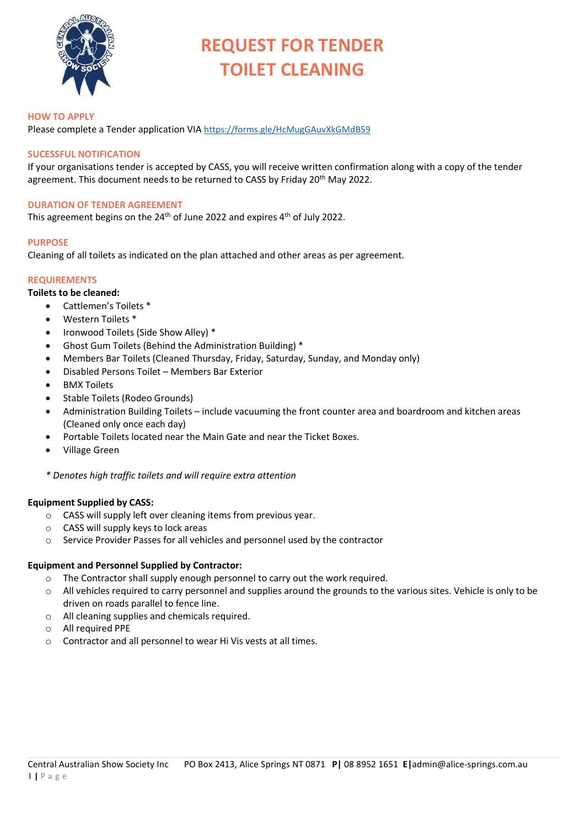

# **REQUEST FOR TENDER TOILET CLEANING**

#### **HOW TO APPLY**

Please complete a Tender application VIA <https://forms.gle/HcMugGAuvXkGMdB59>

# **SUCESSFUL NOTIFICATION**

If your organisations tender is accepted by CASS, you will receive written confirmation along with a copy of the tender agreement. This document needs to be returned to CASS by Friday 20<sup>th</sup> May 2022.

#### **DURATION OF TENDER AGREEMENT**

This agreement begins on the  $24<sup>th</sup>$  of June 2022 and expires  $4<sup>th</sup>$  of July 2022.

#### **PURPOSE**

Cleaning of all toilets as indicated on the plan attached and other areas as per agreement.

# **REQUIREMENTS**

- **Toilets to be cleaned:** 
	- Cattlemen's Toilets \*
	- Western Toilets \*
	- Ironwood Toilets (Side Show Alley) \*
	- Ghost Gum Toilets (Behind the Administration Building) \*
	- Members Bar Toilets (Cleaned Thursday, Friday, Saturday, Sunday, and Monday only)
	- Disabled Persons Toilet Members Bar Exterior
	- BMX Toilets
	- Stable Toilets (Rodeo Grounds)
	- Administration Building Toilets include vacuuming the front counter area and boardroom and kitchen areas (Cleaned only once each day)
	- Portable Toilets located near the Main Gate and near the Ticket Boxes.
	- Village Green

*\* Denotes high traffic toilets and will require extra attention*

# **Equipment Supplied by CASS:**

- o CASS will supply left over cleaning items from previous year.
- o CASS will supply keys to lock areas
- o Service Provider Passes for all vehicles and personnel used by the contractor

# **Equipment and Personnel Supplied by Contractor:**

- $\circ$  The Contractor shall supply enough personnel to carry out the work required.
- $\circ$  All vehicles required to carry personnel and supplies around the grounds to the various sites. Vehicle is only to be driven on roads parallel to fence line.
- o All cleaning supplies and chemicals required.
- o All required PPE
- o Contractor and all personnel to wear Hi Vis vests at all times.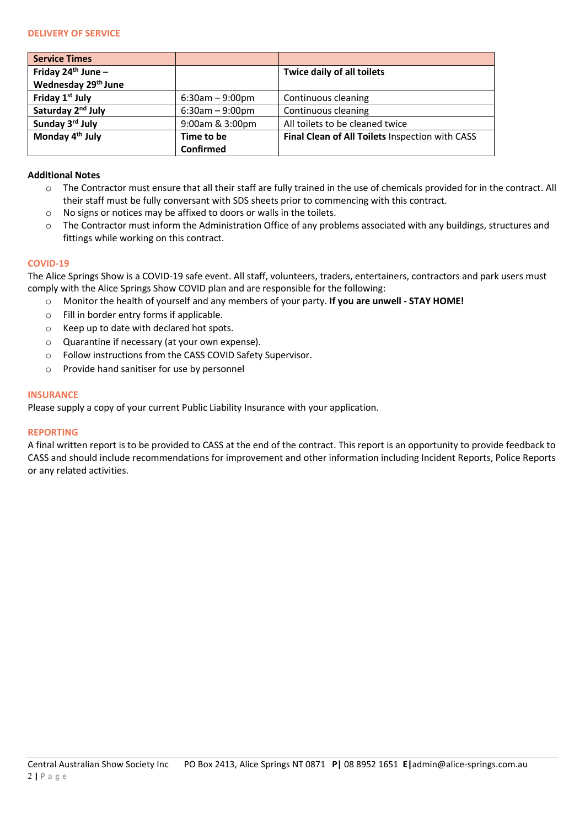| <b>Service Times</b>            |                   |                                                 |
|---------------------------------|-------------------|-------------------------------------------------|
| Friday $24th$ June –            |                   | Twice daily of all toilets                      |
| Wednesday 29 <sup>th</sup> June |                   |                                                 |
| Friday 1st July                 | $6:30am - 9:00pm$ | Continuous cleaning                             |
| Saturday 2 <sup>nd</sup> July   | $6:30am - 9:00pm$ | Continuous cleaning                             |
| Sunday 3rd July                 | 9:00am & 3:00pm   | All toilets to be cleaned twice                 |
| Monday 4 <sup>th</sup> July     | Time to be        | Final Clean of All Toilets Inspection with CASS |
|                                 | Confirmed         |                                                 |

### **Additional Notes**

- o The Contractor must ensure that all their staff are fully trained in the use of chemicals provided for in the contract. All their staff must be fully conversant with SDS sheets prior to commencing with this contract.
- o No signs or notices may be affixed to doors or walls in the toilets.
- o The Contractor must inform the Administration Office of any problems associated with any buildings, structures and fittings while working on this contract.

#### **COVID-19**

The Alice Springs Show is a COVID-19 safe event. All staff, volunteers, traders, entertainers, contractors and park users must comply with the Alice Springs Show COVID plan and are responsible for the following:

- o Monitor the health of yourself and any members of your party. **If you are unwell STAY HOME!**
- o Fill in border entry forms if applicable.
- o Keep up to date with declared hot spots.
- o Quarantine if necessary (at your own expense).
- o Follow instructions from the CASS COVID Safety Supervisor.
- o Provide hand sanitiser for use by personnel

#### **INSURANCE**

Please supply a copy of your current Public Liability Insurance with your application.

# **REPORTING**

A final written report is to be provided to CASS at the end of the contract. This report is an opportunity to provide feedback to CASS and should include recommendations for improvement and other information including Incident Reports, Police Reports or any related activities.